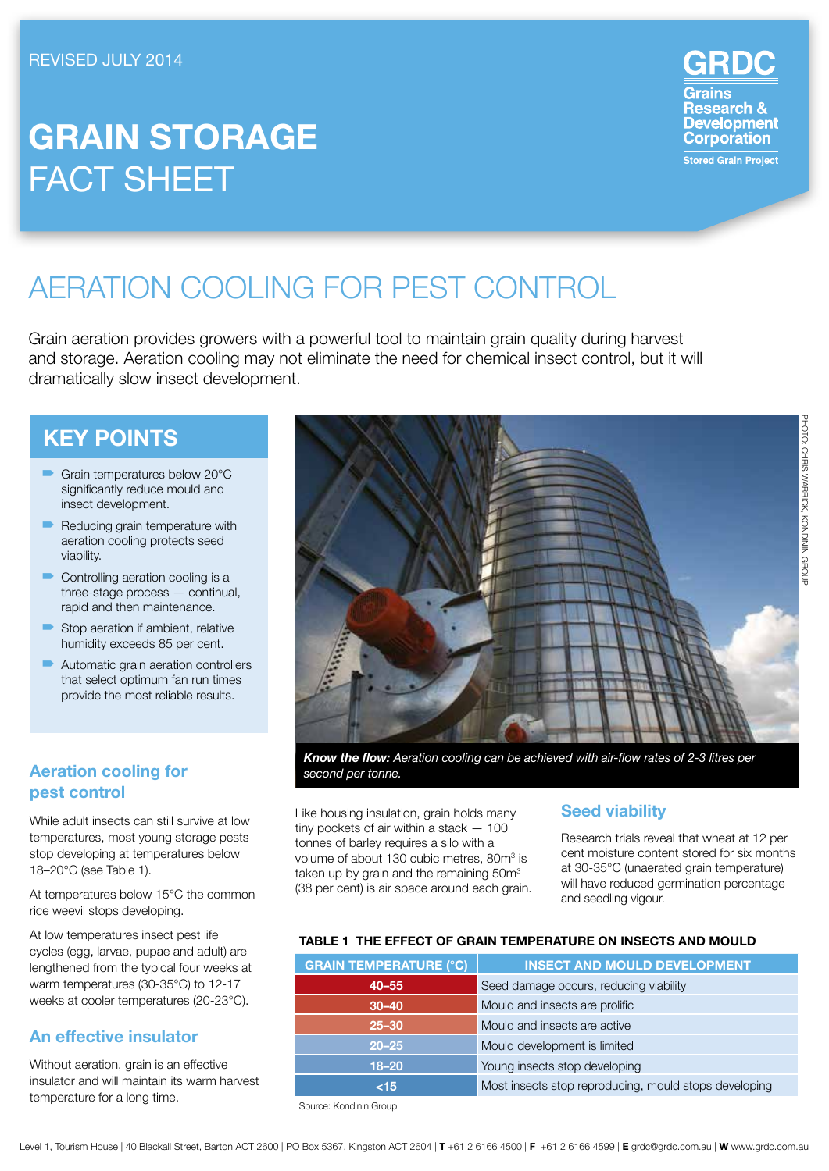# **Grain Storage FACT SHEET**

Grains **Research &<br>Development Corporation Stored Grain Project** 

# Aeration cooling for pest control

Grain aeration provides growers with a powerful tool to maintain grain quality during harvest and storage. Aeration cooling may not eliminate the need for chemical insect control, but it will dramatically slow insect development.

# **Key Points**

- <sup>•</sup> Grain temperatures below 20°C significantly reduce mould and insect development.
- Reducing grain temperature with aeration cooling protects seed viability.
- Controlling aeration cooling is a three-stage process — continual, rapid and then maintenance.
- $\blacksquare$  Stop aeration if ambient, relative humidity exceeds 85 per cent.
- Automatic grain aeration controllers that select optimum fan run times provide the most reliable results.

# **Aeration cooling for pest control**

While adult insects can still survive at low temperatures, most young storage pests stop developing at temperatures below 18–20°C (see Table 1).

At temperatures below 15°C the common rice weevil stops developing.

At low temperatures insect pest life cycles (egg, larvae, pupae and adult) are lengthened from the typical four weeks at warm temperatures (30-35°C) to 12-17 weeks at cooler temperatures (20-23°C).

# **An effective insulator**

Without aeration, grain is an effective insulator and will maintain its warm harvest temperature for a long time.



*Know the flow: Aeration cooling can be achieved with air-flow rates of 2-3 litres per second per tonne.* 

Like housing insulation, grain holds many tiny pockets of air within a stack — 100 tonnes of barley requires a silo with a volume of about 130 cubic metres, 80m<sup>3</sup> is taken up by grain and the remaining 50m<sup>3</sup> (38 per cent) is air space around each grain.

## **Seed viability**

Research trials reveal that wheat at 12 per cent moisture content stored for six months at 30-35°C (unaerated grain temperature) will have reduced germination percentage and seedling vigour.

#### **TABLE 1 THE EFFECT OF Grain temperature ON INSECTS AND MOULD**

| <b>INSECT AND MOULD DEVELOPMENT</b>                   |  |  |
|-------------------------------------------------------|--|--|
| Seed damage occurs, reducing viability                |  |  |
| Mould and insects are prolific                        |  |  |
| Mould and insects are active                          |  |  |
| Mould development is limited                          |  |  |
| Young insects stop developing                         |  |  |
| Most insects stop reproducing, mould stops developing |  |  |
|                                                       |  |  |

Source: Kondinin Group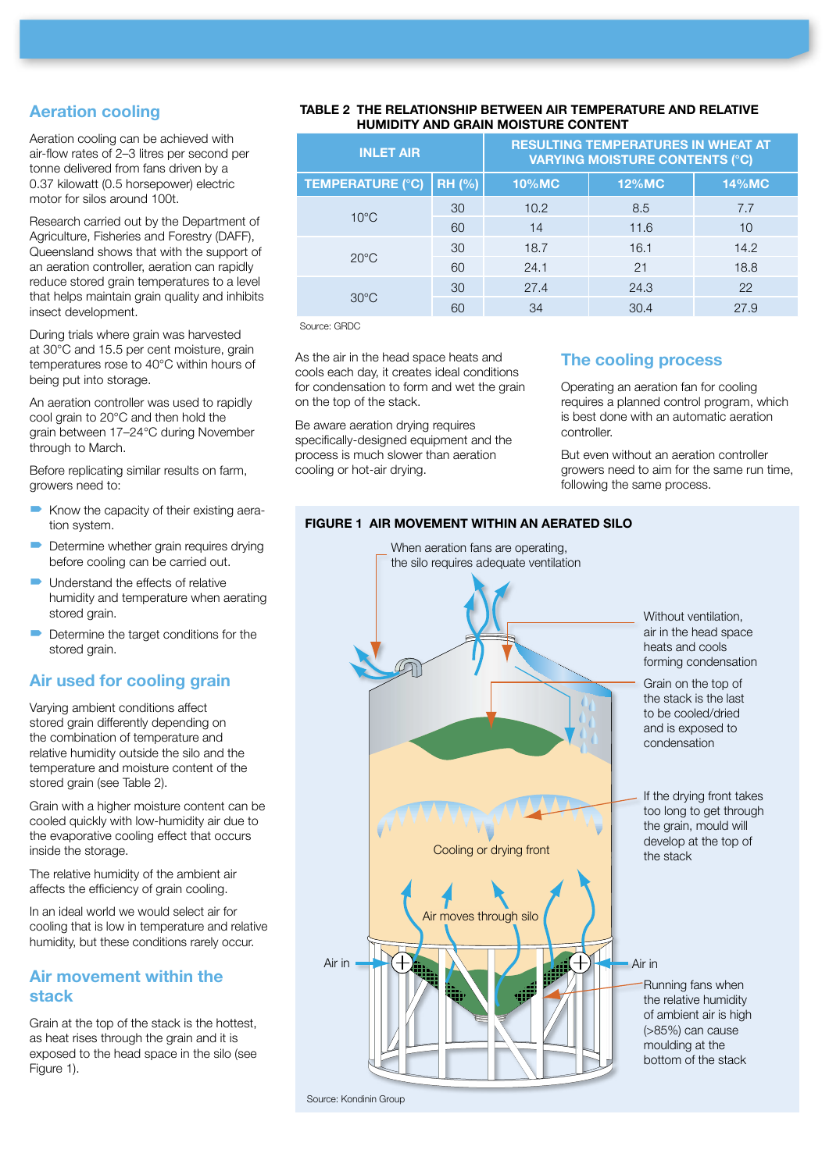## **Aeration cooling**

Aeration cooling can be achieved with air-flow rates of 2–3 litres per second per tonne delivered from fans driven by a 0.37 kilowatt (0.5 horsepower) electric motor for silos around 100t.

Research carried out by the Department of Agriculture, Fisheries and Forestry (DAFF), Queensland shows that with the support of an aeration controller, aeration can rapidly reduce stored grain temperatures to a level that helps maintain grain quality and inhibits insect development.

During trials where grain was harvested at 30°C and 15.5 per cent moisture, grain temperatures rose to 40°C within hours of being put into storage.

An aeration controller was used to rapidly cool grain to 20°C and then hold the grain between 17–24°C during November through to March.

Before replicating similar results on farm, growers need to:

- $\blacktriangleright$  Know the capacity of their existing aeration system.
- Determine whether grain requires drying before cooling can be carried out.
- $\blacksquare$  Understand the effects of relative humidity and temperature when aerating stored grain.
- $\blacksquare$  Determine the target conditions for the stored grain.

### **Air used for cooling grain**

Varying ambient conditions affect stored grain differently depending on the combination of temperature and relative humidity outside the silo and the temperature and moisture content of the stored grain (see Table 2).

Grain with a higher moisture content can be cooled quickly with low-humidity air due to the evaporative cooling effect that occurs inside the storage.

The relative humidity of the ambient air affects the efficiency of grain cooling.

In an ideal world we would select air for cooling that is low in temperature and relative humidity, but these conditions rarely occur.

#### **Air movement within the stack**

Grain at the top of the stack is the hottest, as heat rises through the grain and it is exposed to the head space in the silo (see Figure 1).

#### **TABLE 2 The relationship between air temperature and relative humidity and grain moisture content**

| <b>INLET AIR</b> |              | <b>RESULTING TEMPERATURES IN WHEAT AT</b><br><b>VARYING MOISTURE CONTENTS (°C)</b> |              |  |
|------------------|--------------|------------------------------------------------------------------------------------|--------------|--|
| <b>RH (%)</b>    | <b>10%MC</b> | <b>12%MC</b>                                                                       | <b>14%MC</b> |  |
| 30               | 10.2         | 8.5                                                                                | 7.7          |  |
| 60               | 14           | 11.6                                                                               | 10           |  |
| 30               | 18.7         | 16.1                                                                               | 14.2         |  |
| 60               | 24.1         | 21                                                                                 | 18.8         |  |
| 30               | 27.4         | 24.3                                                                               | 22           |  |
| 60               | 34           | 30.4                                                                               | 27.9         |  |
|                  |              |                                                                                    |              |  |

Source: GRDC

As the air in the head space heats and cools each day, it creates ideal conditions for condensation to form and wet the grain on the top of the stack.

Be aware aeration drying requires specifically-designed equipment and the process is much slower than aeration cooling or hot-air drying.

## **The cooling process**

Operating an aeration fan for cooling requires a planned control program, which is best done with an automatic aeration controller.

But even without an aeration controller growers need to aim for the same run time, following the same process.

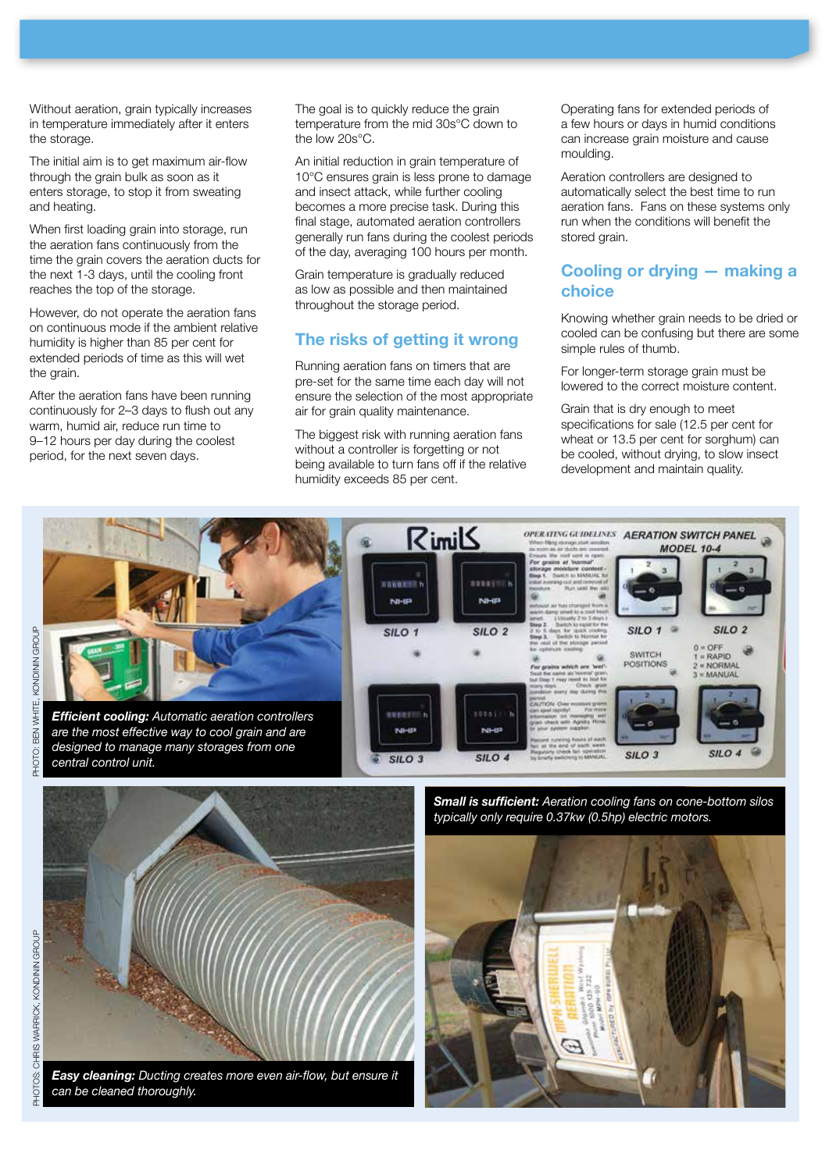Without aeration, grain typically increases in temperature immediately after it enters the storage.

The initial aim is to get maximum air-flow through the grain bulk as soon as it enters storage, to stop it from sweating and heating.

When first loading grain into storage, run the aeration fans continuously from the time the grain covers the aeration ducts for the next 1-3 days, until the cooling front reaches the top of the storage.

However, do not operate the aeration fans on continuous mode if the ambient relative humidity is higher than 85 per cent for extended periods of time as this will wet the grain.

After the aeration fans have been running continuously for 2–3 days to flush out any warm, humid air, reduce run time to 9–12 hours per day during the coolest period, for the next seven days.

The goal is to quickly reduce the grain temperature from the mid 30s°C down to the low 20s°C.

An initial reduction in grain temperature of 10°C ensures grain is less prone to damage and insect attack, while further cooling becomes a more precise task. During this final stage, automated aeration controllers generally run fans during the coolest periods of the day, averaging 100 hours per month.

Grain temperature is gradually reduced as low as possible and then maintained throughout the storage period.

#### **The risks of getting it wrong**

Running aeration fans on timers that are pre-set for the same time each day will not ensure the selection of the most appropriate air for grain quality maintenance.

The biggest risk with running aeration fans without a controller is forgetting or not being available to turn fans off if the relative humidity exceeds 85 per cent.

Operating fans for extended periods of a few hours or days in humid conditions can increase grain moisture and cause moulding.

Aeration controllers are designed to automatically select the best time to run aeration fans. Fans on these systems only run when the conditions will benefit the stored grain.

#### **Cooling or drying — making a choice**

Knowing whether grain needs to be dried or cooled can be confusing but there are some simple rules of thumb.

For longer-term storage grain must be lowered to the correct moisture content.

Grain that is dry enough to meet specifications for sale (12.5 per cent for wheat or 13.5 per cent for sorghum) can be cooled, without drying, to slow insect development and maintain quality.



*Small is sufficient: Aeration cooling fans on cone-bottom silos typically only require 0.37kw (0.5hp) electric motors.*





*Easy cleaning: Ducting creates more even air-flow, but ensure it can be cleaned thoroughly.*